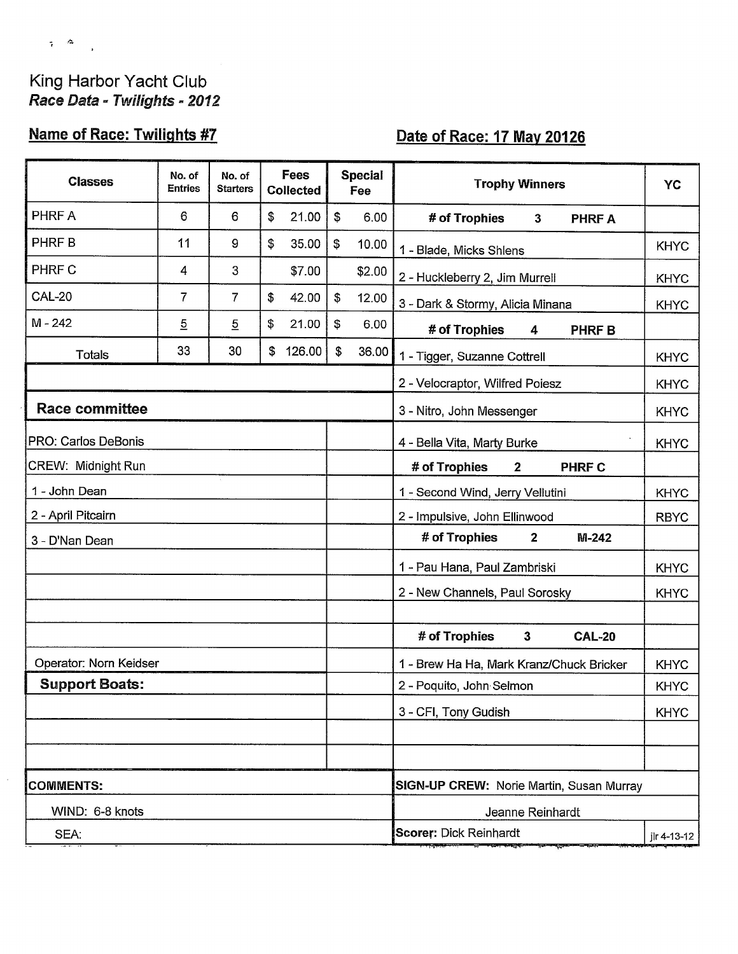## King Harbor Yacht Club Race Data - Twilights - 2012

 $\tau$   $\sim$ 

 $\bar{z}$ 

# **Name of Race: Twilights #7**

# Date of Race: 17 May 20126

| <b>Classes</b>            | No. of<br><b>Entries</b> | No. of<br><b>Starters</b> | <b>Fees</b><br><b>Collected</b> |        | <b>Special</b><br>Fee                           |                                          | <b>Trophy Winners</b>                                   | YC          |  |  |  |
|---------------------------|--------------------------|---------------------------|---------------------------------|--------|-------------------------------------------------|------------------------------------------|---------------------------------------------------------|-------------|--|--|--|
| PHRF A                    | 6                        | 6                         | \$                              | 21.00  | $\boldsymbol{\mathsf{s}}$                       | 6.00                                     | # of Trophies<br>$\mathbf{3}$<br><b>PHRFA</b>           |             |  |  |  |
| <b>PHRF B</b>             | 11                       | 9                         | \$                              | 35.00  | \$                                              | 10.00                                    | 1 - Blade, Micks Shlens                                 | <b>KHYC</b> |  |  |  |
| PHRF C                    | 4                        | 3                         |                                 | \$7.00 |                                                 | \$2.00                                   | 2 - Huckleberry 2, Jim Murrell                          | <b>KHYC</b> |  |  |  |
| <b>CAL-20</b>             | 7                        | 7                         | \$                              | 42.00  | $\mathfrak{P}$                                  | 12.00                                    | 3 - Dark & Stormy, Alicia Minana                        | <b>KHYC</b> |  |  |  |
| $M - 242$                 | $\overline{5}$           | $\overline{5}$            | \$                              | 21.00  | \$                                              | 6.00                                     | # of Trophies<br><b>PHRFB</b><br>4                      |             |  |  |  |
| <b>Totals</b>             | 33                       | 30                        | \$                              | 126.00 | $\mathfrak{F}$                                  | 36.00                                    | 1 - Tigger, Suzanne Cottrell                            | <b>KHYC</b> |  |  |  |
|                           |                          |                           |                                 |        |                                                 |                                          | 2 - Velocraptor, Wilfred Poiesz                         | <b>KHYC</b> |  |  |  |
| <b>Race committee</b>     |                          |                           |                                 |        |                                                 | 3 - Nitro, John Messenger<br><b>KHYC</b> |                                                         |             |  |  |  |
| PRO: Carlos DeBonis       |                          |                           |                                 |        |                                                 |                                          | 4 - Bella Vita, Marty Burke                             | <b>KHYC</b> |  |  |  |
| <b>CREW: Midnight Run</b> |                          |                           |                                 |        |                                                 |                                          | # of Trophies<br>$\mathbf{2}$<br><b>PHRF C</b>          |             |  |  |  |
| 1 - John Dean             |                          |                           |                                 |        |                                                 |                                          | 1 - Second Wind, Jerry Vellutini                        | <b>KHYC</b> |  |  |  |
| 2 - April Pitcairn        |                          |                           |                                 |        |                                                 |                                          | 2 - Impulsive, John Ellinwood                           | <b>RBYC</b> |  |  |  |
| 3 - D'Nan Dean            |                          |                           |                                 |        |                                                 |                                          | # of Trophies<br>$\mathbf{2}$<br>$M-242$                |             |  |  |  |
|                           |                          |                           |                                 |        |                                                 |                                          | 1 - Pau Hana, Paul Zambriski                            | <b>KHYC</b> |  |  |  |
|                           |                          |                           |                                 |        |                                                 |                                          | 2 - New Channels, Paul Sorosky                          | <b>KHYC</b> |  |  |  |
|                           |                          |                           |                                 |        |                                                 |                                          |                                                         |             |  |  |  |
|                           |                          |                           |                                 |        |                                                 |                                          | # of Trophies<br>$\mathbf{3}$<br><b>CAL-20</b>          |             |  |  |  |
| Operator: Norn Keidser    |                          |                           |                                 |        |                                                 |                                          | 1 - Brew Ha Ha, Mark Kranz/Chuck Bricker<br><b>KHYC</b> |             |  |  |  |
| <b>Support Boats:</b>     |                          |                           |                                 |        |                                                 |                                          | 2 - Poquito, John Selmon                                | <b>KHYC</b> |  |  |  |
|                           |                          |                           |                                 |        |                                                 |                                          | 3 - CFI, Tony Gudish                                    | <b>KHYC</b> |  |  |  |
|                           |                          |                           |                                 |        |                                                 |                                          |                                                         |             |  |  |  |
|                           |                          |                           |                                 |        |                                                 |                                          |                                                         |             |  |  |  |
| <b>COMMENTS:</b>          |                          |                           |                                 |        | <b>SIGN-UP CREW: Norie Martin, Susan Murray</b> |                                          |                                                         |             |  |  |  |
| WIND: 6-8 knots           |                          |                           |                                 |        |                                                 |                                          | Jeanne Reinhardt                                        |             |  |  |  |
| SEA:                      |                          |                           |                                 |        |                                                 |                                          | <b>Scorer: Dick Reinhardt</b>                           | ilr 4-13-12 |  |  |  |